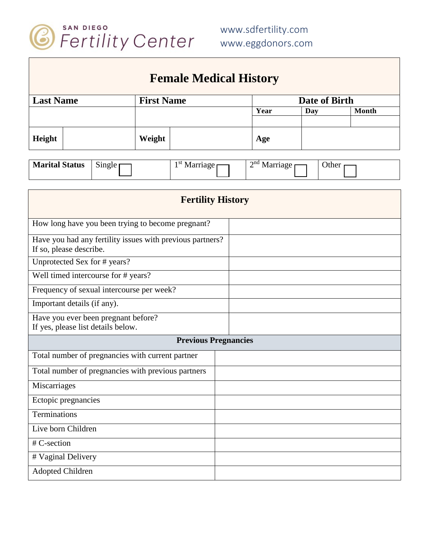

| <b>Female Medical History</b>                                                        |                          |                                                   |                   |  |  |                         |            |       |  |  |  |
|--------------------------------------------------------------------------------------|--------------------------|---------------------------------------------------|-------------------|--|--|-------------------------|------------|-------|--|--|--|
| <b>Last Name</b>                                                                     |                          |                                                   | <b>First Name</b> |  |  | Date of Birth           |            |       |  |  |  |
|                                                                                      |                          |                                                   |                   |  |  | Year                    | <b>Day</b> | Month |  |  |  |
| Height                                                                               |                          |                                                   | Weight            |  |  | Age                     |            |       |  |  |  |
| <b>Marital Status</b><br>$Single \mid$                                               |                          |                                                   | $1st$ Marriage    |  |  | $2nd$ Marriage<br>Other |            |       |  |  |  |
|                                                                                      | <b>Fertility History</b> |                                                   |                   |  |  |                         |            |       |  |  |  |
|                                                                                      |                          | How long have you been trying to become pregnant? |                   |  |  |                         |            |       |  |  |  |
| Have you had any fertility issues with previous partners?<br>If so, please describe. |                          |                                                   |                   |  |  |                         |            |       |  |  |  |
|                                                                                      |                          | Unprotected Sex for # years?                      |                   |  |  |                         |            |       |  |  |  |
|                                                                                      |                          | Well timed intercourse for # years?               |                   |  |  |                         |            |       |  |  |  |
|                                                                                      |                          | Frequency of sexual intercourse per week?         |                   |  |  |                         |            |       |  |  |  |
| Important details (if any).                                                          |                          |                                                   |                   |  |  |                         |            |       |  |  |  |
| Have you ever been pregnant before?<br>If yes, please list details below.            |                          |                                                   |                   |  |  |                         |            |       |  |  |  |
| <b>Previous Pregnancies</b>                                                          |                          |                                                   |                   |  |  |                         |            |       |  |  |  |
|                                                                                      |                          | Total number of pregnancies with current partner  |                   |  |  |                         |            |       |  |  |  |
| Total number of pregnancies with previous partners                                   |                          |                                                   |                   |  |  |                         |            |       |  |  |  |
| Miscarriages                                                                         |                          |                                                   |                   |  |  |                         |            |       |  |  |  |
| Ectopic pregnancies                                                                  |                          |                                                   |                   |  |  |                         |            |       |  |  |  |
| Terminations                                                                         |                          |                                                   |                   |  |  |                         |            |       |  |  |  |
| Live born Children                                                                   |                          |                                                   |                   |  |  |                         |            |       |  |  |  |
| # C-section                                                                          |                          |                                                   |                   |  |  |                         |            |       |  |  |  |
| # Vaginal Delivery                                                                   |                          |                                                   |                   |  |  |                         |            |       |  |  |  |
| <b>Adopted Children</b>                                                              |                          |                                                   |                   |  |  |                         |            |       |  |  |  |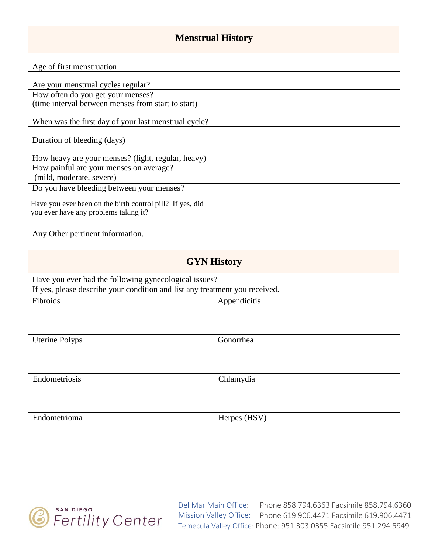| <b>Menstrual History</b>                                                                                                             |              |  |  |  |  |  |
|--------------------------------------------------------------------------------------------------------------------------------------|--------------|--|--|--|--|--|
| Age of first menstruation                                                                                                            |              |  |  |  |  |  |
| Are your menstrual cycles regular?                                                                                                   |              |  |  |  |  |  |
| How often do you get your menses?<br>(time interval between menses from start to start)                                              |              |  |  |  |  |  |
| When was the first day of your last menstrual cycle?                                                                                 |              |  |  |  |  |  |
| Duration of bleeding (days)                                                                                                          |              |  |  |  |  |  |
| How heavy are your menses? (light, regular, heavy)<br>How painful are your menses on average?<br>(mild, moderate, severe)            |              |  |  |  |  |  |
| Do you have bleeding between your menses?                                                                                            |              |  |  |  |  |  |
| Have you ever been on the birth control pill? If yes, did<br>you ever have any problems taking it?                                   |              |  |  |  |  |  |
| Any Other pertinent information.                                                                                                     |              |  |  |  |  |  |
| <b>GYN History</b>                                                                                                                   |              |  |  |  |  |  |
| Have you ever had the following gynecological issues?<br>If yes, please describe your condition and list any treatment you received. |              |  |  |  |  |  |
| Fibroids                                                                                                                             | Appendicitis |  |  |  |  |  |
| <b>Uterine Polyps</b>                                                                                                                | Gonorrhea    |  |  |  |  |  |
| Endometriosis                                                                                                                        | Chlamydia    |  |  |  |  |  |
| Endometrioma                                                                                                                         | Herpes (HSV) |  |  |  |  |  |

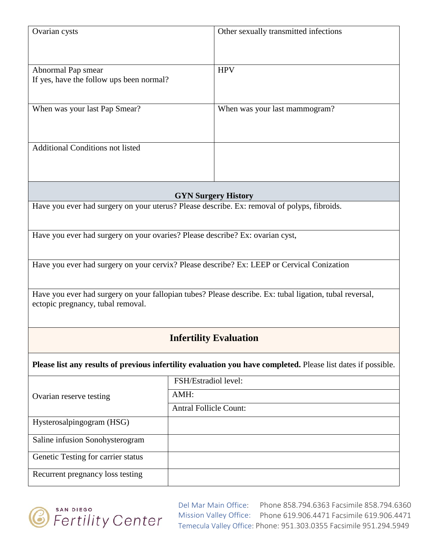| Ovarian cysts                                                                                                                                | Other sexually transmitted infections |  |  |  |  |  |
|----------------------------------------------------------------------------------------------------------------------------------------------|---------------------------------------|--|--|--|--|--|
| Abnormal Pap smear<br>If yes, have the follow ups been normal?                                                                               | <b>HPV</b>                            |  |  |  |  |  |
| When was your last Pap Smear?                                                                                                                | When was your last mammogram?         |  |  |  |  |  |
| <b>Additional Conditions not listed</b>                                                                                                      |                                       |  |  |  |  |  |
|                                                                                                                                              | <b>GYN Surgery History</b>            |  |  |  |  |  |
| Have you ever had surgery on your uterus? Please describe. Ex: removal of polyps, fibroids.                                                  |                                       |  |  |  |  |  |
| Have you ever had surgery on your ovaries? Please describe? Ex: ovarian cyst,                                                                |                                       |  |  |  |  |  |
| Have you ever had surgery on your cervix? Please describe? Ex: LEEP or Cervical Conization                                                   |                                       |  |  |  |  |  |
| Have you ever had surgery on your fallopian tubes? Please describe. Ex: tubal ligation, tubal reversal,<br>ectopic pregnancy, tubal removal. |                                       |  |  |  |  |  |
| <b>Infertility Evaluation</b>                                                                                                                |                                       |  |  |  |  |  |
| Please list any results of previous infertility evaluation you have completed. Please list dates if possible.                                |                                       |  |  |  |  |  |
| FSH/Estradiol level:                                                                                                                         |                                       |  |  |  |  |  |
| Ovarian reserve testing                                                                                                                      | AMH:                                  |  |  |  |  |  |
| <b>Antral Follicle Count:</b>                                                                                                                |                                       |  |  |  |  |  |
| Hysterosalpingogram (HSG)                                                                                                                    |                                       |  |  |  |  |  |
| Saline infusion Sonohysterogram                                                                                                              |                                       |  |  |  |  |  |
| Genetic Testing for carrier status                                                                                                           |                                       |  |  |  |  |  |
| Recurrent pregnancy loss testing                                                                                                             |                                       |  |  |  |  |  |

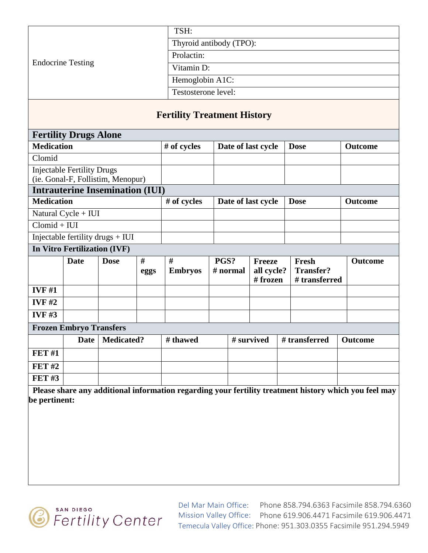|                          | TSH:                    |
|--------------------------|-------------------------|
|                          | Thyroid antibody (TPO): |
|                          | Prolactin:              |
| <b>Endocrine Testing</b> | Vitamin D:              |
|                          | Hemoglobin A1C:         |
|                          | Testosterone level:     |

## **Fertility Treatment History**

| <b>Fertility Drugs Alone</b>           |                                   |                                   |      |                |      |                    |                          |  |                                   |  |                                                                                                       |
|----------------------------------------|-----------------------------------|-----------------------------------|------|----------------|------|--------------------|--------------------------|--|-----------------------------------|--|-------------------------------------------------------------------------------------------------------|
| <b>Medication</b>                      |                                   |                                   |      | # of cycles    |      | Date of last cycle |                          |  | <b>Dose</b>                       |  | <b>Outcome</b>                                                                                        |
| Clomid                                 |                                   |                                   |      |                |      |                    |                          |  |                                   |  |                                                                                                       |
|                                        | <b>Injectable Fertility Drugs</b> |                                   |      |                |      |                    |                          |  |                                   |  |                                                                                                       |
|                                        |                                   | (ie. Gonal-F, Follistim, Menopur) |      |                |      |                    |                          |  |                                   |  |                                                                                                       |
| <b>Intrauterine Insemination (IUI)</b> |                                   |                                   |      |                |      |                    |                          |  |                                   |  |                                                                                                       |
| <b>Medication</b>                      |                                   |                                   |      | $#$ of cycles  |      | Date of last cycle |                          |  | <b>Dose</b>                       |  | <b>Outcome</b>                                                                                        |
|                                        | Natural Cycle + IUI               |                                   |      |                |      |                    |                          |  |                                   |  |                                                                                                       |
| $Clomid + IUI$                         |                                   |                                   |      |                |      |                    |                          |  |                                   |  |                                                                                                       |
|                                        |                                   | Injectable fertility drugs + IUI  |      |                |      |                    |                          |  |                                   |  |                                                                                                       |
| In Vitro Fertilization (IVF)           |                                   |                                   |      |                |      |                    |                          |  |                                   |  |                                                                                                       |
|                                        | <b>Date</b>                       | <b>Dose</b>                       | #    | #              | PGS? |                    | <b>Freeze</b>            |  | Fresh                             |  | <b>Outcome</b>                                                                                        |
|                                        |                                   |                                   | eggs | <b>Embryos</b> |      | # normal           | all cycle?<br>$#$ frozen |  | <b>Transfer?</b><br># transferred |  |                                                                                                       |
| <b>IVF#1</b>                           |                                   |                                   |      |                |      |                    |                          |  |                                   |  |                                                                                                       |
| IVF#2                                  |                                   |                                   |      |                |      |                    |                          |  |                                   |  |                                                                                                       |
| <b>IVF#3</b>                           |                                   |                                   |      |                |      |                    |                          |  |                                   |  |                                                                                                       |
| <b>Frozen Embryo Transfers</b>         |                                   |                                   |      |                |      |                    |                          |  |                                   |  |                                                                                                       |
|                                        | Date                              | <b>Medicated?</b>                 |      | # thawed       |      |                    | # survived               |  | # transferred                     |  | <b>Outcome</b>                                                                                        |
| <b>FET #1</b>                          |                                   |                                   |      |                |      |                    |                          |  |                                   |  |                                                                                                       |
| <b>FET#2</b>                           |                                   |                                   |      |                |      |                    |                          |  |                                   |  |                                                                                                       |
| <b>FET#3</b>                           |                                   |                                   |      |                |      |                    |                          |  |                                   |  |                                                                                                       |
|                                        |                                   |                                   |      |                |      |                    |                          |  |                                   |  | Please share any additional information regarding your fertility treatment history which you feel may |

**be pertinent:**

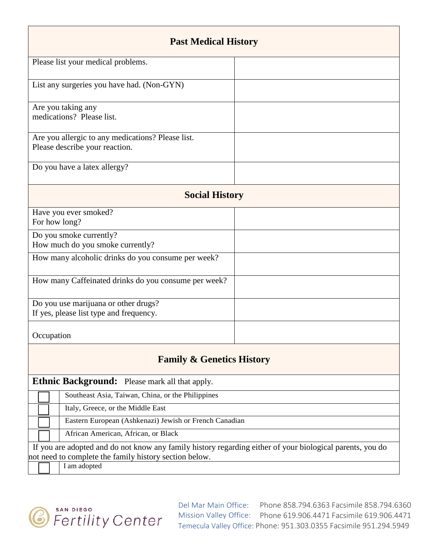| <b>Past Medical History</b>                                                                                                                                         |  |  |  |  |  |  |
|---------------------------------------------------------------------------------------------------------------------------------------------------------------------|--|--|--|--|--|--|
| Please list your medical problems.                                                                                                                                  |  |  |  |  |  |  |
| List any surgeries you have had. (Non-GYN)                                                                                                                          |  |  |  |  |  |  |
| Are you taking any<br>medications? Please list.                                                                                                                     |  |  |  |  |  |  |
| Are you allergic to any medications? Please list.<br>Please describe your reaction.                                                                                 |  |  |  |  |  |  |
| Do you have a latex allergy?                                                                                                                                        |  |  |  |  |  |  |
| <b>Social History</b>                                                                                                                                               |  |  |  |  |  |  |
| Have you ever smoked?<br>For how long?                                                                                                                              |  |  |  |  |  |  |
| Do you smoke currently?<br>How much do you smoke currently?                                                                                                         |  |  |  |  |  |  |
| How many alcoholic drinks do you consume per week?                                                                                                                  |  |  |  |  |  |  |
| How many Caffeinated drinks do you consume per week?                                                                                                                |  |  |  |  |  |  |
| Do you use marijuana or other drugs?<br>If yes, please list type and frequency.                                                                                     |  |  |  |  |  |  |
| Occupation                                                                                                                                                          |  |  |  |  |  |  |
| <b>Family &amp; Genetics History</b>                                                                                                                                |  |  |  |  |  |  |
| <b>Ethnic Background:</b> Please mark all that apply.                                                                                                               |  |  |  |  |  |  |
| Southeast Asia, Taiwan, China, or the Philippines                                                                                                                   |  |  |  |  |  |  |
| Italy, Greece, or the Middle East                                                                                                                                   |  |  |  |  |  |  |
| Eastern European (Ashkenazi) Jewish or French Canadian                                                                                                              |  |  |  |  |  |  |
| African American, African, or Black                                                                                                                                 |  |  |  |  |  |  |
| If you are adopted and do not know any family history regarding either of your biological parents, you do<br>not need to complete the family history section below. |  |  |  |  |  |  |

I am adopted



Del Mar Main Office: Mission Valley Office: Phone 619.906.4471 Facsimile 619.906.4471 Phone 858.794.6363 Facsimile 858.794.6360 Temecula Valley Office: Phone: 951.303.0355 Facsimile 951.294.5949